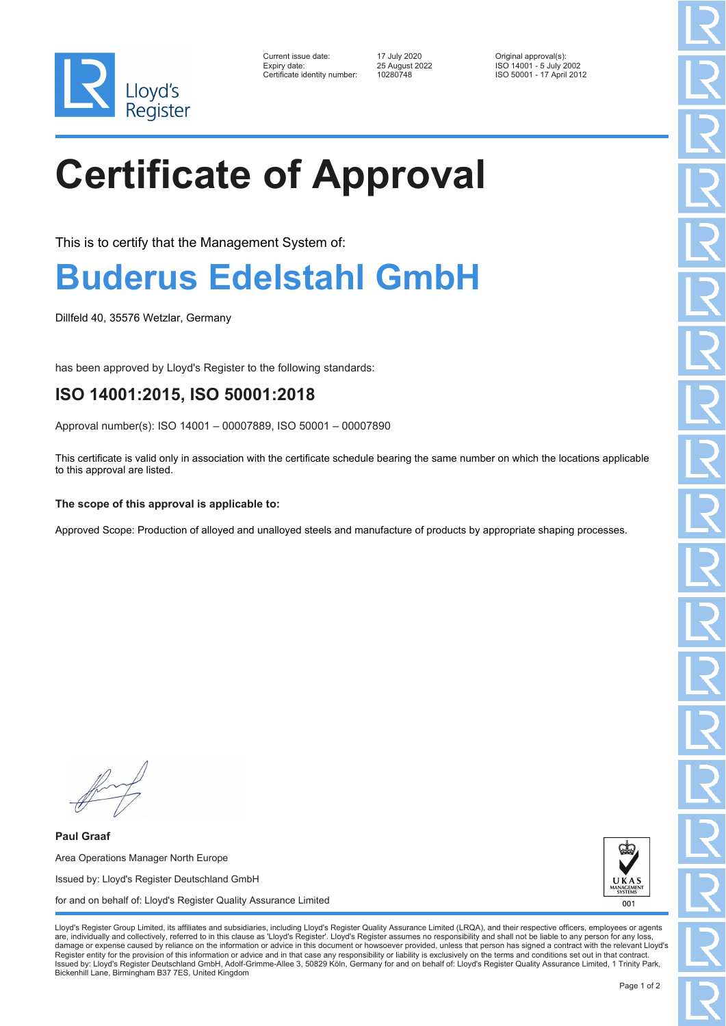

| Current issue date:          | 17 July 2020   | Original approval(s):    |
|------------------------------|----------------|--------------------------|
| Expiry date:                 | 25 August 2022 | ISO 14001 - 5 July 2002  |
| Certificate identity number: | 10280748       | ISO 50001 - 17 April 201 |

Certificate identity number: 10280748 ISO 50001 - 17 April 2012

# **Certificate of Approval**

This is to certify that the Management System of:

### **Buderus Edelstahl GmbH**

Dillfeld 40, 35576 Wetzlar, Germany

has been approved by Lloyd's Register to the following standards:

### **ISO 14001:2015, ISO 50001:2018**

Approval number(s): ISO 14001 – 00007889, ISO 50001 – 00007890

This certificate is valid only in association with the certificate schedule bearing the same number on which the locations applicable to this approval are listed.

#### **The scope of this approval is applicable to:**

Approved Scope: Production of alloyed and unalloyed steels and manufacture of products by appropriate shaping processes.

**Paul Graaf** Area Operations Manager North Europe Issued by: Lloyd's Register Deutschland GmbH for and on behalf of: Lloyd's Register Quality Assurance Limited



Lloyd's Register Group Limited, its affiliates and subsidiaries, including Lloyd's Register Quality Assurance Limited (LRQA), and their respective officers, employees or agents are, individually and collectively, referred to in this clause as 'Lloyd's Register'. Lloyd's Register assumes no responsibility and shall not be liable to any person for any los damage or expense caused by reliance on the information or advice in this document or howsoever provided, unless that person has signed a contract with the relevant Lloyd's<br>Register entity for the provision of this informa Issued by: Lloyd's Register Deutschland GmbH, Adolf-Grimme-Allee 3, 50829 Köln, Germany for and on behalf of: Lloyd's Register Quality Assurance Limited, 1 Trinity Park, Bickenhill Lane, Birmingham B37 7ES, United Kingdom